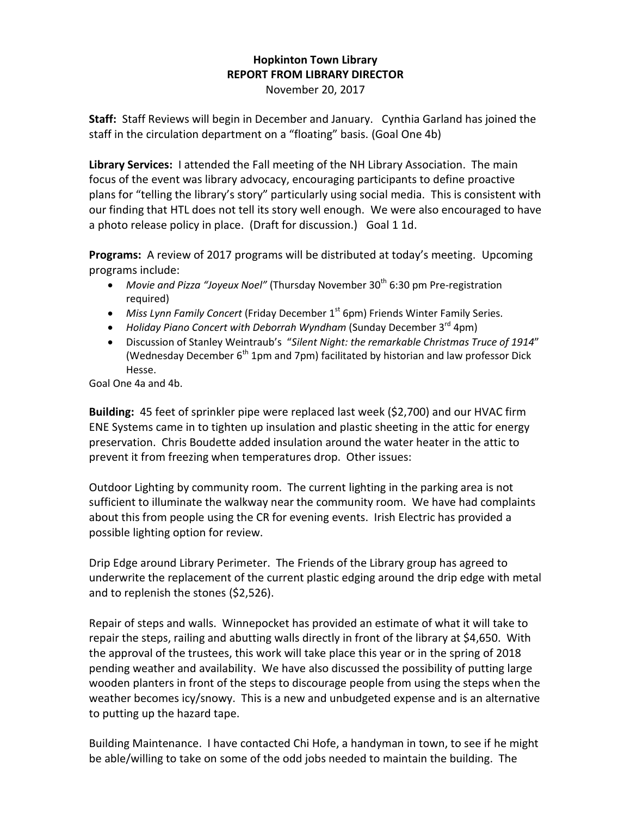## **Hopkinton Town Library REPORT FROM LIBRARY DIRECTOR**

November 20, 2017

**Staff:** Staff Reviews will begin in December and January. Cynthia Garland has joined the staff in the circulation department on a "floating" basis. (Goal One 4b)

**Library Services:** I attended the Fall meeting of the NH Library Association. The main focus of the event was library advocacy, encouraging participants to define proactive plans for "telling the library's story" particularly using social media. This is consistent with our finding that HTL does not tell its story well enough. We were also encouraged to have a photo release policy in place. (Draft for discussion.) Goal 1 1d.

**Programs:** A review of 2017 programs will be distributed at today's meeting. Upcoming programs include:

- Movie and Pizza "Joyeux Noel" (Thursday November 30<sup>th</sup> 6:30 pm Pre-registration required)
- Miss Lynn Family Concert (Friday December 1<sup>st</sup> 6pm) Friends Winter Family Series.
- Holiday Piano Concert with Deborrah Wyndham (Sunday December 3<sup>rd</sup> 4pm)
- Discussion of Stanley Weintraub's "*Silent Night: the remarkable Christmas Truce of 1914*" (Wednesday December  $6<sup>th</sup>$  1pm and 7pm) facilitated by historian and law professor Dick Hesse.

Goal One 4a and 4b.

**Building:** 45 feet of sprinkler pipe were replaced last week (\$2,700) and our HVAC firm ENE Systems came in to tighten up insulation and plastic sheeting in the attic for energy preservation. Chris Boudette added insulation around the water heater in the attic to prevent it from freezing when temperatures drop. Other issues:

Outdoor Lighting by community room. The current lighting in the parking area is not sufficient to illuminate the walkway near the community room. We have had complaints about this from people using the CR for evening events. Irish Electric has provided a possible lighting option for review.

Drip Edge around Library Perimeter. The Friends of the Library group has agreed to underwrite the replacement of the current plastic edging around the drip edge with metal and to replenish the stones (\$2,526).

Repair of steps and walls. Winnepocket has provided an estimate of what it will take to repair the steps, railing and abutting walls directly in front of the library at \$4,650. With the approval of the trustees, this work will take place this year or in the spring of 2018 pending weather and availability. We have also discussed the possibility of putting large wooden planters in front of the steps to discourage people from using the steps when the weather becomes icy/snowy. This is a new and unbudgeted expense and is an alternative to putting up the hazard tape.

Building Maintenance. I have contacted Chi Hofe, a handyman in town, to see if he might be able/willing to take on some of the odd jobs needed to maintain the building. The